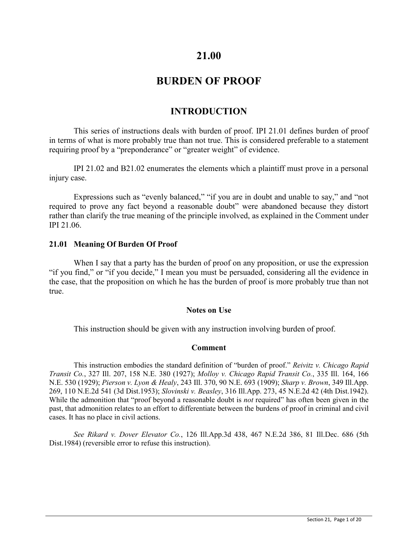# **21.00**

# **BURDEN OF PROOF**

# **INTRODUCTION**

This series of instructions deals with burden of proof. IPI 21.01 defines burden of proof in terms of what is more probably true than not true. This is considered preferable to a statement requiring proof by a "preponderance" or "greater weight" of evidence.

IPI 21.02 and B21.02 enumerates the elements which a plaintiff must prove in a personal injury case.

Expressions such as "evenly balanced," "if you are in doubt and unable to say," and "not required to prove any fact beyond a reasonable doubt" were abandoned because they distort rather than clarify the true meaning of the principle involved, as explained in the Comment under IPI 21.06.

## **21.01 Meaning Of Burden Of Proof**

When I say that a party has the burden of proof on any proposition, or use the expression "if you find," or "if you decide," I mean you must be persuaded, considering all the evidence in the case, that the proposition on which he has the burden of proof is more probably true than not true.

#### **Notes on Use**

This instruction should be given with any instruction involving burden of proof.

## **Comment**

This instruction embodies the standard definition of "burden of proof." *Reivitz v. Chicago Rapid Transit Co.*, 327 Ill. 207, 158 N.E. 380 (1927); *Molloy v. Chicago Rapid Transit Co.*, 335 Ill. 164, 166 N.E. 530 (1929); *Pierson v. Lyon & Healy*, 243 Ill. 370, 90 N.E. 693 (1909); *Sharp v. Brown*, 349 Ill.App. 269, 110 N.E.2d 541 (3d Dist.1953); *Slovinski v. Beasley*, 316 Ill.App. 273, 45 N.E.2d 42 (4th Dist.1942). While the admonition that "proof beyond a reasonable doubt is *not* required" has often been given in the past, that admonition relates to an effort to differentiate between the burdens of proof in criminal and civil cases. It has no place in civil actions.

*See Rikard v. Dover Elevator Co.*, 126 Ill.App.3d 438, 467 N.E.2d 386, 81 Ill.Dec. 686 (5th Dist.1984) (reversible error to refuse this instruction).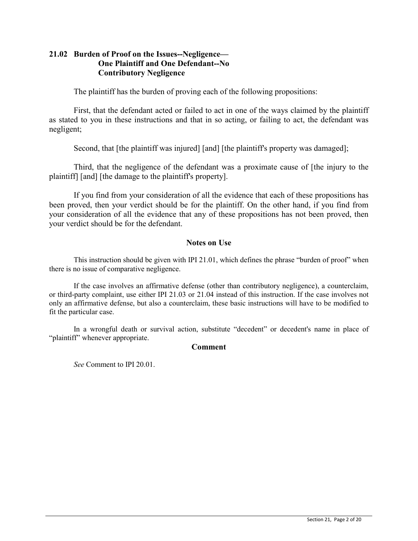# **21.02 Burden of Proof on the Issues--Negligence— One Plaintiff and One Defendant--No Contributory Negligence**

The plaintiff has the burden of proving each of the following propositions:

First, that the defendant acted or failed to act in one of the ways claimed by the plaintiff as stated to you in these instructions and that in so acting, or failing to act, the defendant was negligent;

Second, that [the plaintiff was injured] [and] [the plaintiff's property was damaged];

Third, that the negligence of the defendant was a proximate cause of [the injury to the plaintiff] [and] [the damage to the plaintiff's property].

If you find from your consideration of all the evidence that each of these propositions has been proved, then your verdict should be for the plaintiff. On the other hand, if you find from your consideration of all the evidence that any of these propositions has not been proved, then your verdict should be for the defendant.

# **Notes on Use**

This instruction should be given with IPI 21.01, which defines the phrase "burden of proof" when there is no issue of comparative negligence.

If the case involves an affirmative defense (other than contributory negligence), a counterclaim, or third-party complaint, use either IPI 21.03 or 21.04 instead of this instruction. If the case involves not only an affirmative defense, but also a counterclaim, these basic instructions will have to be modified to fit the particular case.

In a wrongful death or survival action, substitute "decedent" or decedent's name in place of "plaintiff" whenever appropriate.

## **Comment**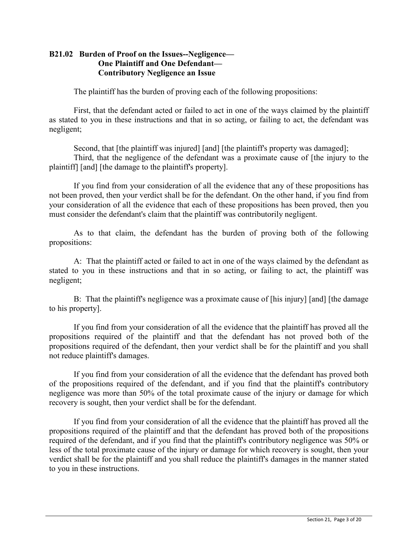# **B21.02 Burden of Proof on the Issues--Negligence— One Plaintiff and One Defendant— Contributory Negligence an Issue**

The plaintiff has the burden of proving each of the following propositions:

First, that the defendant acted or failed to act in one of the ways claimed by the plaintiff as stated to you in these instructions and that in so acting, or failing to act, the defendant was negligent;

Second, that [the plaintiff was injured] [and] [the plaintiff's property was damaged];

Third, that the negligence of the defendant was a proximate cause of [the injury to the plaintiff] [and] [the damage to the plaintiff's property].

If you find from your consideration of all the evidence that any of these propositions has not been proved, then your verdict shall be for the defendant. On the other hand, if you find from your consideration of all the evidence that each of these propositions has been proved, then you must consider the defendant's claim that the plaintiff was contributorily negligent.

As to that claim, the defendant has the burden of proving both of the following propositions:

A: That the plaintiff acted or failed to act in one of the ways claimed by the defendant as stated to you in these instructions and that in so acting, or failing to act, the plaintiff was negligent;

B: That the plaintiff's negligence was a proximate cause of [his injury] [and] [the damage to his property].

If you find from your consideration of all the evidence that the plaintiff has proved all the propositions required of the plaintiff and that the defendant has not proved both of the propositions required of the defendant, then your verdict shall be for the plaintiff and you shall not reduce plaintiff's damages.

If you find from your consideration of all the evidence that the defendant has proved both of the propositions required of the defendant, and if you find that the plaintiff's contributory negligence was more than 50% of the total proximate cause of the injury or damage for which recovery is sought, then your verdict shall be for the defendant.

If you find from your consideration of all the evidence that the plaintiff has proved all the propositions required of the plaintiff and that the defendant has proved both of the propositions required of the defendant, and if you find that the plaintiff's contributory negligence was 50% or less of the total proximate cause of the injury or damage for which recovery is sought, then your verdict shall be for the plaintiff and you shall reduce the plaintiff's damages in the manner stated to you in these instructions.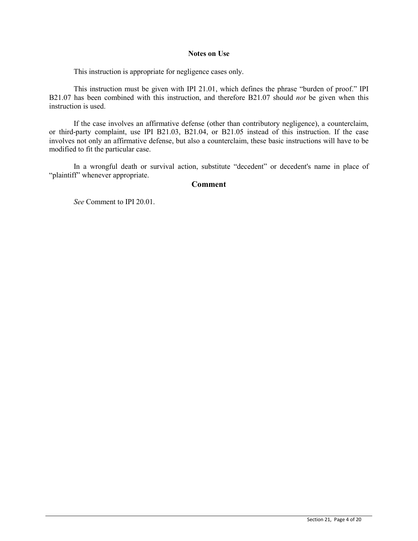#### **Notes on Use**

This instruction is appropriate for negligence cases only.

This instruction must be given with IPI 21.01, which defines the phrase "burden of proof." IPI B21.07 has been combined with this instruction, and therefore B21.07 should *not* be given when this instruction is used.

If the case involves an affirmative defense (other than contributory negligence), a counterclaim, or third-party complaint, use IPI B21.03, B21.04, or B21.05 instead of this instruction. If the case involves not only an affirmative defense, but also a counterclaim, these basic instructions will have to be modified to fit the particular case.

In a wrongful death or survival action, substitute "decedent" or decedent's name in place of "plaintiff" whenever appropriate.

#### **Comment**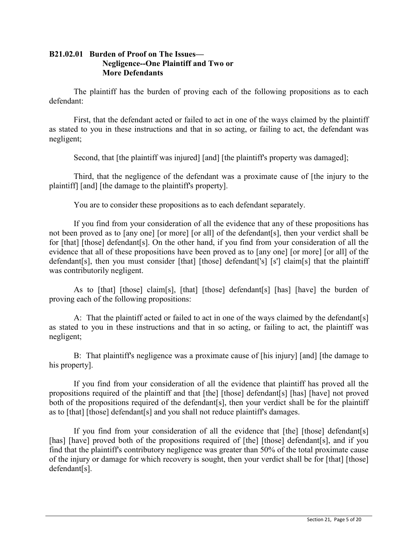# **B21.02.01 Burden of Proof on The Issues— Negligence--One Plaintiff and Two or More Defendants**

The plaintiff has the burden of proving each of the following propositions as to each defendant:

First, that the defendant acted or failed to act in one of the ways claimed by the plaintiff as stated to you in these instructions and that in so acting, or failing to act, the defendant was negligent;

Second, that [the plaintiff was injured] [and] [the plaintiff's property was damaged];

Third, that the negligence of the defendant was a proximate cause of [the injury to the plaintiff] [and] [the damage to the plaintiff's property].

You are to consider these propositions as to each defendant separately.

If you find from your consideration of all the evidence that any of these propositions has not been proved as to [any one] [or more] [or all] of the defendant[s], then your verdict shall be for [that] [those] defendant[s]. On the other hand, if you find from your consideration of all the evidence that all of these propositions have been proved as to [any one] [or more] [or all] of the defendant[s], then you must consider [that] [those] defendant['s] [s'] claim[s] that the plaintiff was contributorily negligent.

As to [that] [those] claim[s], [that] [those] defendant[s] [has] [have] the burden of proving each of the following propositions:

A: That the plaintiff acted or failed to act in one of the ways claimed by the defendant[s] as stated to you in these instructions and that in so acting, or failing to act, the plaintiff was negligent;

B: That plaintiff's negligence was a proximate cause of [his injury] [and] [the damage to his property].

If you find from your consideration of all the evidence that plaintiff has proved all the propositions required of the plaintiff and that [the] [those] defendant[s] [has] [have] not proved both of the propositions required of the defendant[s], then your verdict shall be for the plaintiff as to [that] [those] defendant[s] and you shall not reduce plaintiff's damages.

If you find from your consideration of all the evidence that [the] [those] defendant[s] [has] [have] proved both of the propositions required of [the] [those] defendant[s], and if you find that the plaintiff's contributory negligence was greater than 50% of the total proximate cause of the injury or damage for which recovery is sought, then your verdict shall be for [that] [those] defendant[s].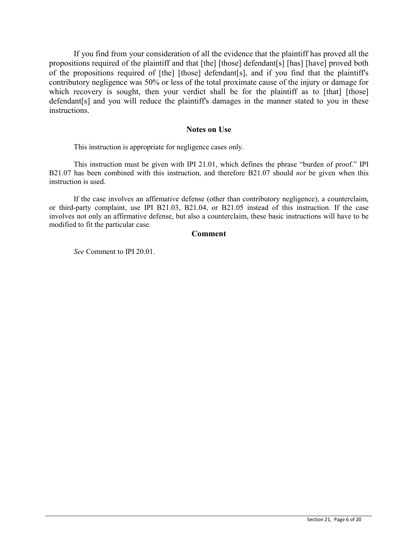If you find from your consideration of all the evidence that the plaintiff has proved all the propositions required of the plaintiff and that [the] [those] defendant[s] [has] [have] proved both of the propositions required of [the] [those] defendant[s], and if you find that the plaintiff's contributory negligence was 50% or less of the total proximate cause of the injury or damage for which recovery is sought, then your verdict shall be for the plaintiff as to [that] [those] defendant[s] and you will reduce the plaintiff's damages in the manner stated to you in these instructions.

#### **Notes on Use**

This instruction is appropriate for negligence cases only.

This instruction must be given with IPI 21.01, which defines the phrase "burden of proof." IPI B21.07 has been combined with this instruction, and therefore B21.07 should *not* be given when this instruction is used.

If the case involves an affirmative defense (other than contributory negligence), a counterclaim, or third-party complaint, use IPI B21.03, B21.04, or B21.05 instead of this instruction. If the case involves not only an affirmative defense, but also a counterclaim, these basic instructions will have to be modified to fit the particular case.

#### **Comment**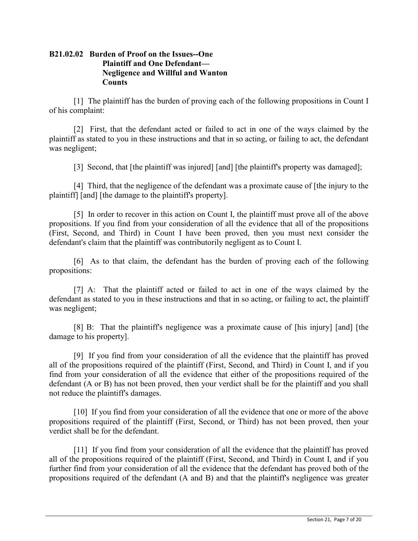# **B21.02.02 Burden of Proof on the Issues--One Plaintiff and One Defendant— Negligence and Willful and Wanton Counts**

[1] The plaintiff has the burden of proving each of the following propositions in Count I of his complaint:

[2] First, that the defendant acted or failed to act in one of the ways claimed by the plaintiff as stated to you in these instructions and that in so acting, or failing to act, the defendant was negligent;

[3] Second, that [the plaintiff was injured] [and] [the plaintiff's property was damaged];

[4] Third, that the negligence of the defendant was a proximate cause of [the injury to the plaintiff] [and] [the damage to the plaintiff's property].

[5] In order to recover in this action on Count I, the plaintiff must prove all of the above propositions. If you find from your consideration of all the evidence that all of the propositions (First, Second, and Third) in Count I have been proved, then you must next consider the defendant's claim that the plaintiff was contributorily negligent as to Count I.

[6] As to that claim, the defendant has the burden of proving each of the following propositions:

[7] A: That the plaintiff acted or failed to act in one of the ways claimed by the defendant as stated to you in these instructions and that in so acting, or failing to act, the plaintiff was negligent;

[8] B: That the plaintiff's negligence was a proximate cause of [his injury] [and] [the damage to his property].

[9] If you find from your consideration of all the evidence that the plaintiff has proved all of the propositions required of the plaintiff (First, Second, and Third) in Count I, and if you find from your consideration of all the evidence that either of the propositions required of the defendant (A or B) has not been proved, then your verdict shall be for the plaintiff and you shall not reduce the plaintiff's damages.

[10] If you find from your consideration of all the evidence that one or more of the above propositions required of the plaintiff (First, Second, or Third) has not been proved, then your verdict shall be for the defendant.

[11] If you find from your consideration of all the evidence that the plaintiff has proved all of the propositions required of the plaintiff (First, Second, and Third) in Count I, and if you further find from your consideration of all the evidence that the defendant has proved both of the propositions required of the defendant (A and B) and that the plaintiff's negligence was greater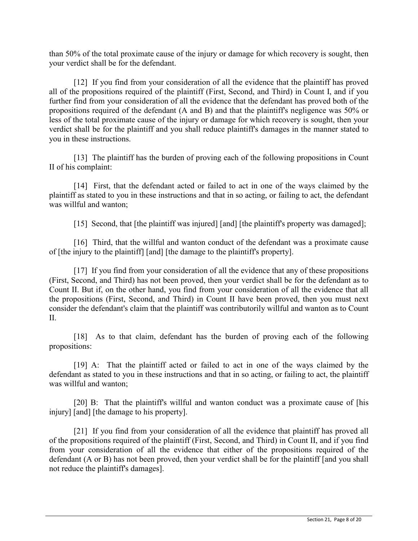than 50% of the total proximate cause of the injury or damage for which recovery is sought, then your verdict shall be for the defendant.

[12] If you find from your consideration of all the evidence that the plaintiff has proved all of the propositions required of the plaintiff (First, Second, and Third) in Count I, and if you further find from your consideration of all the evidence that the defendant has proved both of the propositions required of the defendant (A and B) and that the plaintiff's negligence was 50% or less of the total proximate cause of the injury or damage for which recovery is sought, then your verdict shall be for the plaintiff and you shall reduce plaintiff's damages in the manner stated to you in these instructions.

[13] The plaintiff has the burden of proving each of the following propositions in Count II of his complaint:

[14] First, that the defendant acted or failed to act in one of the ways claimed by the plaintiff as stated to you in these instructions and that in so acting, or failing to act, the defendant was willful and wanton;

[15] Second, that [the plaintiff was injured] [and] [the plaintiff's property was damaged];

[16] Third, that the willful and wanton conduct of the defendant was a proximate cause of [the injury to the plaintiff] [and] [the damage to the plaintiff's property].

[17] If you find from your consideration of all the evidence that any of these propositions (First, Second, and Third) has not been proved, then your verdict shall be for the defendant as to Count II. But if, on the other hand, you find from your consideration of all the evidence that all the propositions (First, Second, and Third) in Count II have been proved, then you must next consider the defendant's claim that the plaintiff was contributorily willful and wanton as to Count II.

[18] As to that claim, defendant has the burden of proving each of the following propositions:

[19] A: That the plaintiff acted or failed to act in one of the ways claimed by the defendant as stated to you in these instructions and that in so acting, or failing to act, the plaintiff was willful and wanton;

[20] B: That the plaintiff's willful and wanton conduct was a proximate cause of [his injury] [and] [the damage to his property].

[21] If you find from your consideration of all the evidence that plaintiff has proved all of the propositions required of the plaintiff (First, Second, and Third) in Count II, and if you find from your consideration of all the evidence that either of the propositions required of the defendant (A or B) has not been proved, then your verdict shall be for the plaintiff [and you shall not reduce the plaintiff's damages].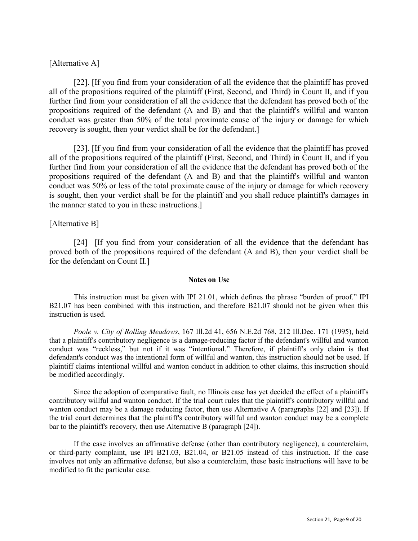# [Alternative A]

[22]. [If you find from your consideration of all the evidence that the plaintiff has proved all of the propositions required of the plaintiff (First, Second, and Third) in Count II, and if you further find from your consideration of all the evidence that the defendant has proved both of the propositions required of the defendant (A and B) and that the plaintiff's willful and wanton conduct was greater than 50% of the total proximate cause of the injury or damage for which recovery is sought, then your verdict shall be for the defendant.]

[23]. [If you find from your consideration of all the evidence that the plaintiff has proved all of the propositions required of the plaintiff (First, Second, and Third) in Count II, and if you further find from your consideration of all the evidence that the defendant has proved both of the propositions required of the defendant (A and B) and that the plaintiff's willful and wanton conduct was 50% or less of the total proximate cause of the injury or damage for which recovery is sought, then your verdict shall be for the plaintiff and you shall reduce plaintiff's damages in the manner stated to you in these instructions.]

## [Alternative B]

[24] [If you find from your consideration of all the evidence that the defendant has proved both of the propositions required of the defendant (A and B), then your verdict shall be for the defendant on Count II.]

#### **Notes on Use**

This instruction must be given with IPI 21.01, which defines the phrase "burden of proof." IPI B21.07 has been combined with this instruction, and therefore B21.07 should not be given when this instruction is used.

*Poole v. City of Rolling Meadows*, 167 Ill.2d 41, 656 N.E.2d 768, 212 Ill.Dec. 171 (1995), held that a plaintiff's contributory negligence is a damage-reducing factor if the defendant's willful and wanton conduct was "reckless," but not if it was "intentional." Therefore, if plaintiff's only claim is that defendant's conduct was the intentional form of willful and wanton, this instruction should not be used. If plaintiff claims intentional willful and wanton conduct in addition to other claims, this instruction should be modified accordingly.

Since the adoption of comparative fault, no Illinois case has yet decided the effect of a plaintiff's contributory willful and wanton conduct. If the trial court rules that the plaintiff's contributory willful and wanton conduct may be a damage reducing factor, then use Alternative A (paragraphs [22] and [23]). If the trial court determines that the plaintiff's contributory willful and wanton conduct may be a complete bar to the plaintiff's recovery, then use Alternative B (paragraph [24]).

If the case involves an affirmative defense (other than contributory negligence), a counterclaim, or third-party complaint, use IPI B21.03, B21.04, or B21.05 instead of this instruction. If the case involves not only an affirmative defense, but also a counterclaim, these basic instructions will have to be modified to fit the particular case.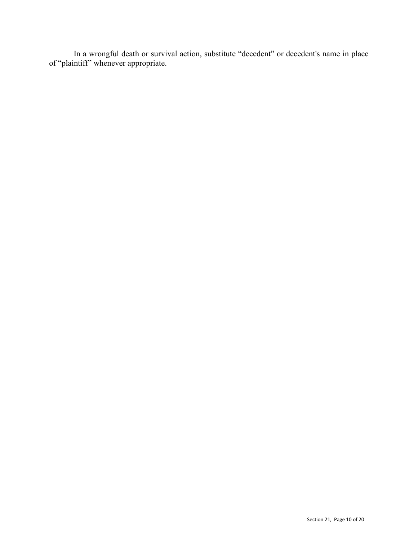In a wrongful death or survival action, substitute "decedent" or decedent's name in place of "plaintiff" whenever appropriate.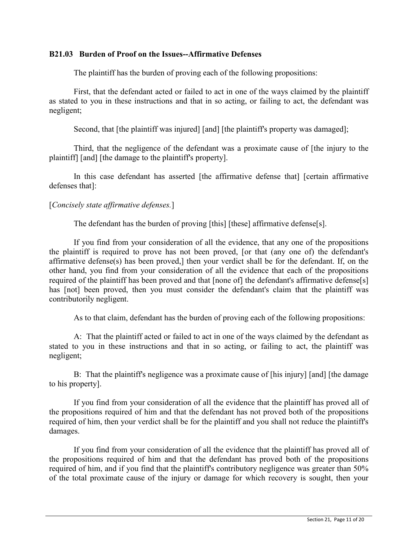## **B21.03 Burden of Proof on the Issues--Affirmative Defenses**

The plaintiff has the burden of proving each of the following propositions:

First, that the defendant acted or failed to act in one of the ways claimed by the plaintiff as stated to you in these instructions and that in so acting, or failing to act, the defendant was negligent;

Second, that [the plaintiff was injured] [and] [the plaintiff's property was damaged];

Third, that the negligence of the defendant was a proximate cause of [the injury to the plaintiff] [and] [the damage to the plaintiff's property].

In this case defendant has asserted [the affirmative defense that] [certain affirmative defenses that]:

# [*Concisely state affirmative defenses.*]

The defendant has the burden of proving [this] [these] affirmative defense[s].

If you find from your consideration of all the evidence, that any one of the propositions the plaintiff is required to prove has not been proved, [or that (any one of) the defendant's affirmative defense(s) has been proved,] then your verdict shall be for the defendant. If, on the other hand, you find from your consideration of all the evidence that each of the propositions required of the plaintiff has been proved and that [none of] the defendant's affirmative defense[s] has [not] been proved, then you must consider the defendant's claim that the plaintiff was contributorily negligent.

As to that claim, defendant has the burden of proving each of the following propositions:

A: That the plaintiff acted or failed to act in one of the ways claimed by the defendant as stated to you in these instructions and that in so acting, or failing to act, the plaintiff was negligent;

B: That the plaintiff's negligence was a proximate cause of [his injury] [and] [the damage to his property].

If you find from your consideration of all the evidence that the plaintiff has proved all of the propositions required of him and that the defendant has not proved both of the propositions required of him, then your verdict shall be for the plaintiff and you shall not reduce the plaintiff's damages.

If you find from your consideration of all the evidence that the plaintiff has proved all of the propositions required of him and that the defendant has proved both of the propositions required of him, and if you find that the plaintiff's contributory negligence was greater than 50% of the total proximate cause of the injury or damage for which recovery is sought, then your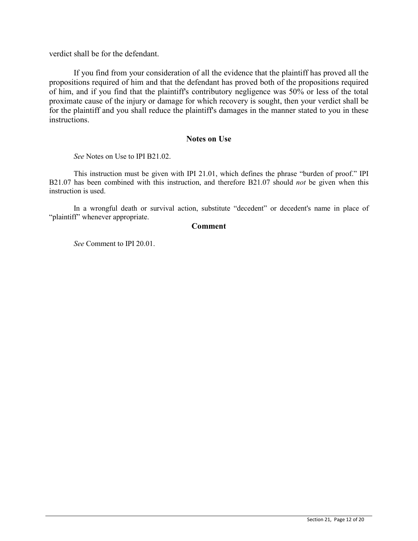verdict shall be for the defendant.

If you find from your consideration of all the evidence that the plaintiff has proved all the propositions required of him and that the defendant has proved both of the propositions required of him, and if you find that the plaintiff's contributory negligence was 50% or less of the total proximate cause of the injury or damage for which recovery is sought, then your verdict shall be for the plaintiff and you shall reduce the plaintiff's damages in the manner stated to you in these instructions.

#### **Notes on Use**

*See* Notes on Use to IPI B21.02.

This instruction must be given with IPI 21.01, which defines the phrase "burden of proof." IPI B21.07 has been combined with this instruction, and therefore B21.07 should *not* be given when this instruction is used.

In a wrongful death or survival action, substitute "decedent" or decedent's name in place of "plaintiff" whenever appropriate.

#### **Comment**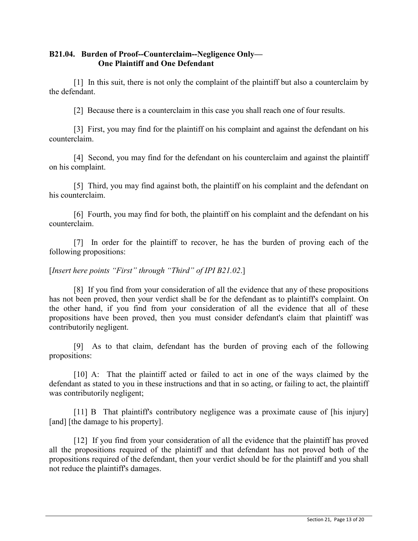# **B21.04. Burden of Proof--Counterclaim--Negligence Only— One Plaintiff and One Defendant**

[1] In this suit, there is not only the complaint of the plaintiff but also a counterclaim by the defendant.

[2] Because there is a counterclaim in this case you shall reach one of four results.

[3] First, you may find for the plaintiff on his complaint and against the defendant on his counterclaim.

[4] Second, you may find for the defendant on his counterclaim and against the plaintiff on his complaint.

[5] Third, you may find against both, the plaintiff on his complaint and the defendant on his counterclaim.

[6] Fourth, you may find for both, the plaintiff on his complaint and the defendant on his counterclaim.

[7] In order for the plaintiff to recover, he has the burden of proving each of the following propositions:

## [*Insert here points "First" through "Third" of IPI B21.02*.]

[8] If you find from your consideration of all the evidence that any of these propositions has not been proved, then your verdict shall be for the defendant as to plaintiff's complaint. On the other hand, if you find from your consideration of all the evidence that all of these propositions have been proved, then you must consider defendant's claim that plaintiff was contributorily negligent.

[9] As to that claim, defendant has the burden of proving each of the following propositions:

[10] A: That the plaintiff acted or failed to act in one of the ways claimed by the defendant as stated to you in these instructions and that in so acting, or failing to act, the plaintiff was contributorily negligent;

[11] B That plaintiff's contributory negligence was a proximate cause of [his injury] [and] [the damage to his property].

[12] If you find from your consideration of all the evidence that the plaintiff has proved all the propositions required of the plaintiff and that defendant has not proved both of the propositions required of the defendant, then your verdict should be for the plaintiff and you shall not reduce the plaintiff's damages.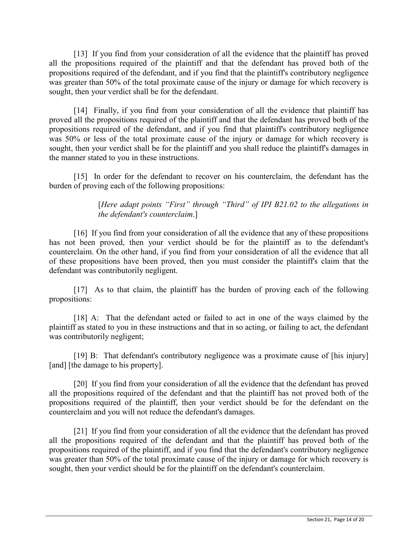[13] If you find from your consideration of all the evidence that the plaintiff has proved all the propositions required of the plaintiff and that the defendant has proved both of the propositions required of the defendant, and if you find that the plaintiff's contributory negligence was greater than 50% of the total proximate cause of the injury or damage for which recovery is sought, then your verdict shall be for the defendant.

[14] Finally, if you find from your consideration of all the evidence that plaintiff has proved all the propositions required of the plaintiff and that the defendant has proved both of the propositions required of the defendant, and if you find that plaintiff's contributory negligence was 50% or less of the total proximate cause of the injury or damage for which recovery is sought, then your verdict shall be for the plaintiff and you shall reduce the plaintiff's damages in the manner stated to you in these instructions.

[15] In order for the defendant to recover on his counterclaim, the defendant has the burden of proving each of the following propositions:

> [*Here adapt points "First" through "Third" of IPI B21.02 to the allegations in the defendant's counterclaim*.]

[16] If you find from your consideration of all the evidence that any of these propositions has not been proved, then your verdict should be for the plaintiff as to the defendant's counterclaim. On the other hand, if you find from your consideration of all the evidence that all of these propositions have been proved, then you must consider the plaintiff's claim that the defendant was contributorily negligent.

[17] As to that claim, the plaintiff has the burden of proving each of the following propositions:

[18] A: That the defendant acted or failed to act in one of the ways claimed by the plaintiff as stated to you in these instructions and that in so acting, or failing to act, the defendant was contributorily negligent;

[19] B: That defendant's contributory negligence was a proximate cause of [his injury] [and] [the damage to his property].

[20] If you find from your consideration of all the evidence that the defendant has proved all the propositions required of the defendant and that the plaintiff has not proved both of the propositions required of the plaintiff, then your verdict should be for the defendant on the counterclaim and you will not reduce the defendant's damages.

[21] If you find from your consideration of all the evidence that the defendant has proved all the propositions required of the defendant and that the plaintiff has proved both of the propositions required of the plaintiff, and if you find that the defendant's contributory negligence was greater than 50% of the total proximate cause of the injury or damage for which recovery is sought, then your verdict should be for the plaintiff on the defendant's counterclaim.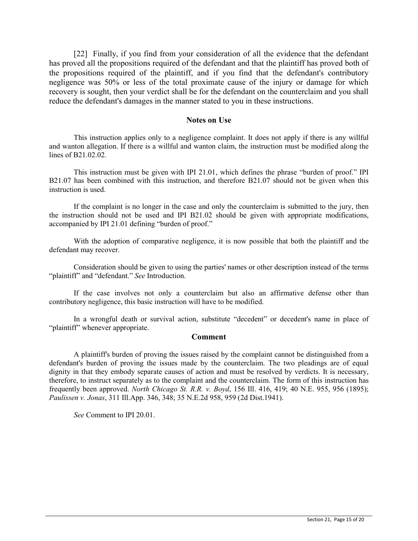[22] Finally, if you find from your consideration of all the evidence that the defendant has proved all the propositions required of the defendant and that the plaintiff has proved both of the propositions required of the plaintiff, and if you find that the defendant's contributory negligence was 50% or less of the total proximate cause of the injury or damage for which recovery is sought, then your verdict shall be for the defendant on the counterclaim and you shall reduce the defendant's damages in the manner stated to you in these instructions.

#### **Notes on Use**

This instruction applies only to a negligence complaint. It does not apply if there is any willful and wanton allegation. If there is a willful and wanton claim, the instruction must be modified along the lines of B21.02.02.

This instruction must be given with IPI 21.01, which defines the phrase "burden of proof." IPI B21.07 has been combined with this instruction, and therefore B21.07 should not be given when this instruction is used.

If the complaint is no longer in the case and only the counterclaim is submitted to the jury, then the instruction should not be used and IPI B21.02 should be given with appropriate modifications, accompanied by IPI 21.01 defining "burden of proof."

With the adoption of comparative negligence, it is now possible that both the plaintiff and the defendant may recover.

Consideration should be given to using the parties' names or other description instead of the terms "plaintiff" and "defendant." *See* Introduction.

If the case involves not only a counterclaim but also an affirmative defense other than contributory negligence, this basic instruction will have to be modified.

In a wrongful death or survival action, substitute "decedent" or decedent's name in place of "plaintiff" whenever appropriate.

#### **Comment**

A plaintiff's burden of proving the issues raised by the complaint cannot be distinguished from a defendant's burden of proving the issues made by the counterclaim. The two pleadings are of equal dignity in that they embody separate causes of action and must be resolved by verdicts. It is necessary, therefore, to instruct separately as to the complaint and the counterclaim. The form of this instruction has frequently been approved. *North Chicago St. R.R. v. Boyd*, 156 Ill. 416, 419; 40 N.E. 955, 956 (1895); *Paulissen v. Jonas*, 311 Ill.App. 346, 348; 35 N.E.2d 958, 959 (2d Dist.1941).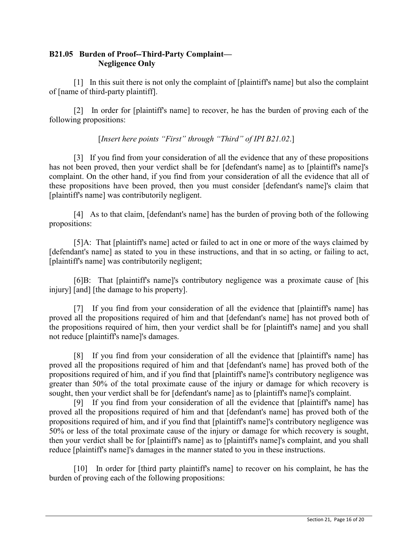# **B21.05 Burden of Proof--Third-Party Complaint— Negligence Only**

[1] In this suit there is not only the complaint of [plaintiff's name] but also the complaint of [name of third-party plaintiff].

[2] In order for [plaintiff's name] to recover, he has the burden of proving each of the following propositions:

[*Insert here points "First" through "Third" of IPI B21.02*.]

[3] If you find from your consideration of all the evidence that any of these propositions has not been proved, then your verdict shall be for [defendant's name] as to [plaintiff's name]'s complaint. On the other hand, if you find from your consideration of all the evidence that all of these propositions have been proved, then you must consider [defendant's name]'s claim that [plaintiff's name] was contributorily negligent.

[4] As to that claim, [defendant's name] has the burden of proving both of the following propositions:

[5]A: That [plaintiff's name] acted or failed to act in one or more of the ways claimed by [defendant's name] as stated to you in these instructions, and that in so acting, or failing to act, [plaintiff's name] was contributorily negligent;

[6]B: That [plaintiff's name]'s contributory negligence was a proximate cause of [his injury] [and] [the damage to his property].

[7] If you find from your consideration of all the evidence that [plaintiff's name] has proved all the propositions required of him and that [defendant's name] has not proved both of the propositions required of him, then your verdict shall be for [plaintiff's name] and you shall not reduce [plaintiff's name]'s damages.

[8] If you find from your consideration of all the evidence that [plaintiff's name] has proved all the propositions required of him and that [defendant's name] has proved both of the propositions required of him, and if you find that [plaintiff's name]'s contributory negligence was greater than 50% of the total proximate cause of the injury or damage for which recovery is sought, then your verdict shall be for [defendant's name] as to [plaintiff's name]'s complaint.

[9] If you find from your consideration of all the evidence that [plaintiff's name] has proved all the propositions required of him and that [defendant's name] has proved both of the propositions required of him, and if you find that [plaintiff's name]'s contributory negligence was 50% or less of the total proximate cause of the injury or damage for which recovery is sought, then your verdict shall be for [plaintiff's name] as to [plaintiff's name]'s complaint, and you shall reduce [plaintiff's name]'s damages in the manner stated to you in these instructions.

[10] In order for [third party plaintiff's name] to recover on his complaint, he has the burden of proving each of the following propositions: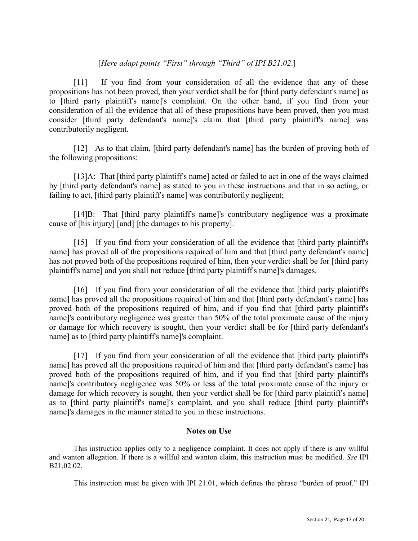# [*Here adapt points "First" through "Third" of IPI B21.02*.]

[11] If you find from your consideration of all the evidence that any of these propositions has not been proved, then your verdict shall be for [third party defendant's name] as to [third party plaintiff's name]'s complaint. On the other hand, if you find from your consideration of all the evidence that all of these propositions have been proved, then you must consider [third party defendant's name]'s claim that [third party plaintiff's name] was contributorily negligent.

[12] As to that claim, [third party defendant's name] has the burden of proving both of the following propositions:

[13]A: That [third party plaintiff's name] acted or failed to act in one of the ways claimed by [third party defendant's name] as stated to you in these instructions and that in so acting, or failing to act, [third party plaintiff's name] was contributorily negligent;

[14]B: That [third party plaintiff's name]'s contributory negligence was a proximate cause of [his injury] [and] [the damages to his property].

[15] If you find from your consideration of all the evidence that [third party plaintiff's name] has proved all of the propositions required of him and that [third party defendant's name] has not proved both of the propositions required of him, then your verdict shall be for [third party plaintiff's name] and you shall not reduce [third party plaintiff's name]'s damages.

[16] If you find from your consideration of all the evidence that [third party plaintiff's name] has proved all the propositions required of him and that [third party defendant's name] has proved both of the propositions required of him, and if you find that [third party plaintiff's name]'s contributory negligence was greater than 50% of the total proximate cause of the injury or damage for which recovery is sought, then your verdict shall be for [third party defendant's name] as to [third party plaintiff's name]'s complaint.

[17] If you find from your consideration of all the evidence that [third party plaintiff's name] has proved all the propositions required of him and that [third party defendant's name] has proved both of the propositions required of him, and if you find that [third party plaintiff's name]'s contributory negligence was 50% or less of the total proximate cause of the injury or damage for which recovery is sought, then your verdict shall be for [third party plaintiff's name] as to [third party plaintiff's name]'s complaint, and you shall reduce [third party plaintiff's name]'s damages in the manner stated to you in these instructions.

## **Notes on Use**

This instruction applies only to a negligence complaint. It does not apply if there is any willful and wanton allegation. If there is a willful and wanton claim, this instruction must be modified. *See* IPI B21.02.02.

This instruction must be given with IPI 21.01, which defines the phrase "burden of proof." IPI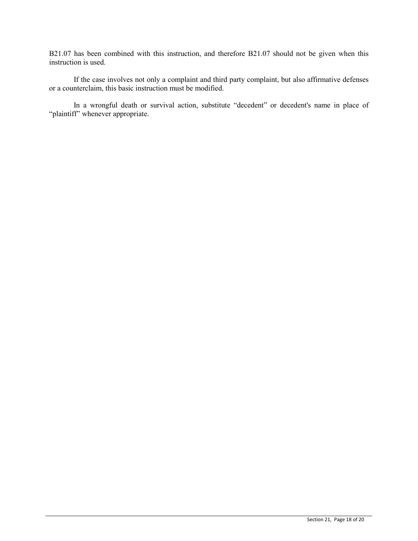B21.07 has been combined with this instruction, and therefore B21.07 should not be given when this instruction is used.

If the case involves not only a complaint and third party complaint, but also affirmative defenses or a counterclaim, this basic instruction must be modified.

In a wrongful death or survival action, substitute "decedent" or decedent's name in place of "plaintiff" whenever appropriate.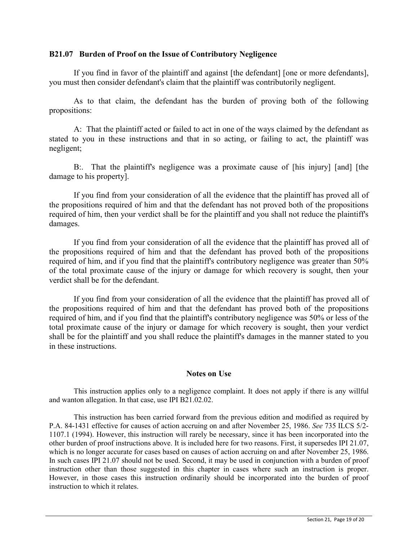#### **B21.07 Burden of Proof on the Issue of Contributory Negligence**

If you find in favor of the plaintiff and against [the defendant] [one or more defendants], you must then consider defendant's claim that the plaintiff was contributorily negligent.

As to that claim, the defendant has the burden of proving both of the following propositions:

A: That the plaintiff acted or failed to act in one of the ways claimed by the defendant as stated to you in these instructions and that in so acting, or failing to act, the plaintiff was negligent;

B:. That the plaintiff's negligence was a proximate cause of [his injury] [and] [the damage to his property].

If you find from your consideration of all the evidence that the plaintiff has proved all of the propositions required of him and that the defendant has not proved both of the propositions required of him, then your verdict shall be for the plaintiff and you shall not reduce the plaintiff's damages.

If you find from your consideration of all the evidence that the plaintiff has proved all of the propositions required of him and that the defendant has proved both of the propositions required of him, and if you find that the plaintiff's contributory negligence was greater than 50% of the total proximate cause of the injury or damage for which recovery is sought, then your verdict shall be for the defendant.

If you find from your consideration of all the evidence that the plaintiff has proved all of the propositions required of him and that the defendant has proved both of the propositions required of him, and if you find that the plaintiff's contributory negligence was 50% or less of the total proximate cause of the injury or damage for which recovery is sought, then your verdict shall be for the plaintiff and you shall reduce the plaintiff's damages in the manner stated to you in these instructions.

## **Notes on Use**

This instruction applies only to a negligence complaint. It does not apply if there is any willful and wanton allegation. In that case, use IPI B21.02.02.

This instruction has been carried forward from the previous edition and modified as required by P.A. 84-1431 effective for causes of action accruing on and after November 25, 1986. *See* 735 ILCS 5/2- 1107.1 (1994). However, this instruction will rarely be necessary, since it has been incorporated into the other burden of proof instructions above. It is included here for two reasons. First, it supersedes IPI 21.07, which is no longer accurate for cases based on causes of action accruing on and after November 25, 1986. In such cases IPI 21.07 should not be used. Second, it may be used in conjunction with a burden of proof instruction other than those suggested in this chapter in cases where such an instruction is proper. However, in those cases this instruction ordinarily should be incorporated into the burden of proof instruction to which it relates.